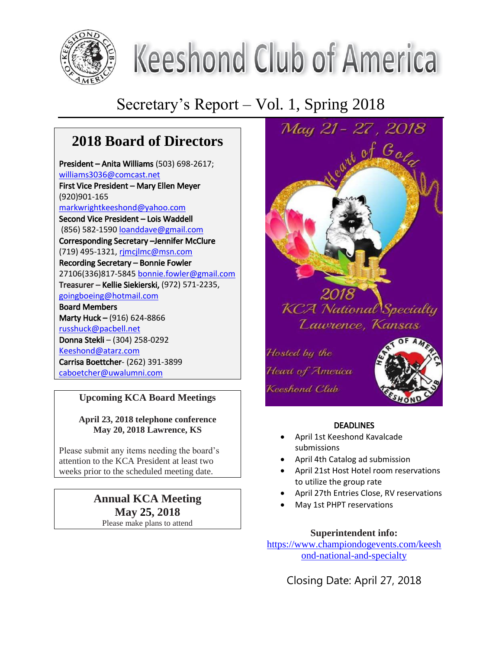

# **Keeshond Club of America**

## Secretary's Report – Vol. 1, Spring 2018

## **2018 Board of Directors**

President – Anita Williams (503) 698-2617; [williams3036@comcast.net](mailto:williams3036@comcast.net) First Vice President – Mary Ellen Meyer (920)901-165 [markwrightkeeshond@yahoo.com](mailto:markwrightkeeshond@yahoo.com) Second Vice President – Lois Waddell (856) 582-1590 [loanddave@gmail.com](mailto:loanddave@gmail.com) Corresponding Secretary –Jennifer McClure (719) 495-1321[, rjmcjlmc@msn.com](mailto:rjmcjlmc@msn.com) Recording Secretary – Bonnie Fowler 27106(336)817-5845 [bonnie.fowler@gmail.com](mailto:bonnie.fowler@gmail.com) Treasurer – Kellie Siekierski, (972) 571-2235, [goingboeing@hotmail.com](mailto:goingboeing@hotmail.com) Board Members Marty Huck – (916) 624-8866 [russhuck@pacbell.net](mailto:russhuck@pacbell.net) Donna Stekli – (304) 258-0292 [Keeshond@atarz.com](mailto:Keeshond@atarz.com) Carrisa Boettcher- (262) 391-3899 [caboetcher@uwalumni.com](mailto:caboetcher@uwalumni.com)

#### **Upcoming KCA Board Meetings**

#### **April 23, 2018 telephone conference May 20, 2018 Lawrence, KS**

Please submit any items needing the board's attention to the KCA President at least two weeks prior to the scheduled meeting date.

## **Annual KCA Meeting May 25, 2018**

Please make plans to attend



#### **DEADLINES**

- April 1st Keeshond Kavalcade submissions
- April 4th Catalog ad submission
- April 21st Host Hotel room reservations to utilize the group rate
- April 27th Entries Close, RV reservations
- May 1st PHPT reservations

#### **Superintendent info:**

[https://www.championdogevents.com/keesh](https://www.championdogevents.com/keeshond-national-and-specialty) [ond-national-and-specialty](https://www.championdogevents.com/keeshond-national-and-specialty)

Closing Date: April 27, 2018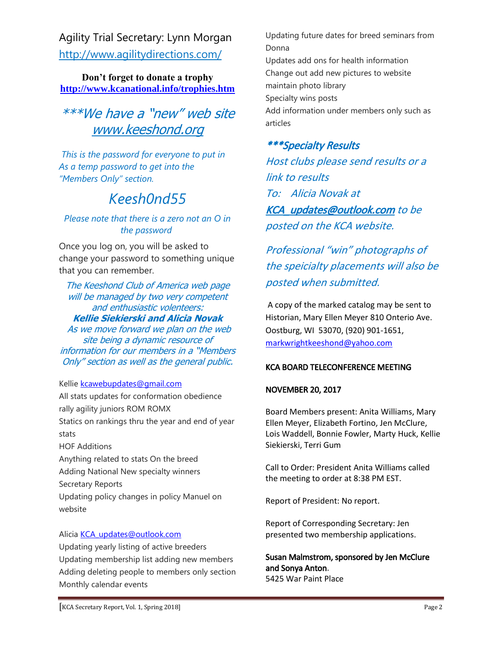Agility Trial Secretary: Lynn Morgan <http://www.agilitydirections.com/>

**Don't forget to donate a trophy <http://www.kcanational.info/trophies.htm>**

## \*\*\*We have a "new" web site [www.keeshond.org](http://www.keeshond.org/)

*This is the password for everyone to put in As a temp password to get into the "Members Only" section.* 

## *Keesh0nd55*

#### *Please note that there is a zero not an O in the password*

Once you log on, you will be asked to change your password to something unique that you can remember.

The Keeshond Club of America web page will be managed by two very competent and enthusiastic volenteers: **Kellie Siekierski and Alicia Novak** As we move forward we plan on the web site being a dynamic resource of information for our members in a "Members Only" section as well as the general public.

#### Kellie [kcawebupdates@gmail.com](mailto:kcawebupdates@gmail.com)

All stats updates for conformation obedience rally agility juniors ROM ROMX Statics on rankings thru the year and end of year stats HOF Additions Anything related to stats On the breed Adding National New specialty winners Secretary Reports Updating policy changes in policy Manuel on

#### Alicia [KCA\\_updates@outlook.com](mailto:KCA_updates@outlook.com)

website

Updating yearly listing of active breeders Updating membership list adding new members Adding deleting people to members only section Monthly calendar events

Updating future dates for breed seminars from Donna Updates add ons for health information Change out add new pictures to website maintain photo library Specialty wins posts Add information under members only such as articles

#### \*\*\*Specialty Results

Host clubs please send results or a link to results To: Alicia Novak at KCA updates@outlook.com to be posted on the KCA website.

Professional "win" photographs of the speicialty placements will also be posted when submitted.

A copy of the marked catalog may be sent to Historian, Mary Ellen Meyer 810 Onterio Ave. Oostburg, WI 53070, (920) 901-1651, [markwrightkeeshond@yahoo.com](mailto:markwrightkeeshond@yahoo.com)

#### KCA BOARD TELECONFERENCE MEETING

#### NOVEMBER 20, 2017

Board Members present: Anita Williams, Mary Ellen Meyer, Elizabeth Fortino, Jen McClure, Lois Waddell, Bonnie Fowler, Marty Huck, Kellie Siekierski, Terri Gum

Call to Order: President Anita Williams called the meeting to order at 8:38 PM EST.

Report of President: No report.

Report of Corresponding Secretary: Jen presented two membership applications.

Susan Malmstrom, sponsored by Jen McClure and Sonya Anton. 5425 War Paint Place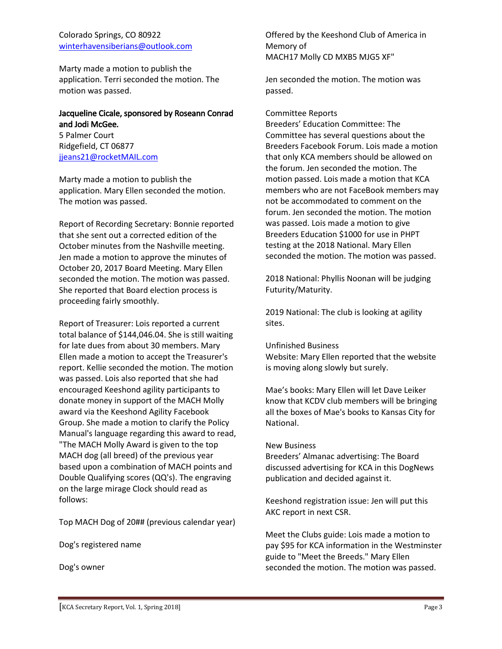#### Colorado Springs, CO 80922 [winterhavensiberians@outlook.com](mailto:winterhavensiberians@outlook.com)

Marty made a motion to publish the application. Terri seconded the motion. The motion was passed.

#### Jacqueline Cicale, sponsored by Roseann Conrad and Jodi McGee.

5 Palmer Court Ridgefield, CT 06877 [jjeans21@rocketMAIL.com](mailto:jjeans21@rocketMAIL.com)

Marty made a motion to publish the application. Mary Ellen seconded the motion. The motion was passed.

Report of Recording Secretary: Bonnie reported that she sent out a corrected edition of the October minutes from the Nashville meeting. Jen made a motion to approve the minutes of October 20, 2017 Board Meeting. Mary Ellen seconded the motion. The motion was passed. She reported that Board election process is proceeding fairly smoothly.

Report of Treasurer: Lois reported a current total balance of \$144,046.04. She is still waiting for late dues from about 30 members. Mary Ellen made a motion to accept the Treasurer's report. Kellie seconded the motion. The motion was passed. Lois also reported that she had encouraged Keeshond agility participants to donate money in support of the MACH Molly award via the Keeshond Agility Facebook Group. She made a motion to clarify the Policy Manual's language regarding this award to read, "The MACH Molly Award is given to the top MACH dog (all breed) of the previous year based upon a combination of MACH points and Double Qualifying scores (QQ's). The engraving on the large mirage Clock should read as follows:

Top MACH Dog of 20## (previous calendar year)

Dog's registered name

Dog's owner

Offered by the Keeshond Club of America in Memory of MACH17 Molly CD MXB5 MJG5 XF"

Jen seconded the motion. The motion was passed.

#### Committee Reports

Breeders' Education Committee: The Committee has several questions about the Breeders Facebook Forum. Lois made a motion that only KCA members should be allowed on the forum. Jen seconded the motion. The motion passed. Lois made a motion that KCA members who are not FaceBook members may not be accommodated to comment on the forum. Jen seconded the motion. The motion was passed. Lois made a motion to give Breeders Education \$1000 for use in PHPT testing at the 2018 National. Mary Ellen seconded the motion. The motion was passed.

2018 National: Phyllis Noonan will be judging Futurity/Maturity.

2019 National: The club is looking at agility sites.

#### Unfinished Business

Website: Mary Ellen reported that the website is moving along slowly but surely.

Mae's books: Mary Ellen will let Dave Leiker know that KCDV club members will be bringing all the boxes of Mae's books to Kansas City for National.

#### New Business

Breeders' Almanac advertising: The Board discussed advertising for KCA in this DogNews publication and decided against it.

Keeshond registration issue: Jen will put this AKC report in next CSR.

Meet the Clubs guide: Lois made a motion to pay \$95 for KCA information in the Westminster guide to "Meet the Breeds." Mary Ellen seconded the motion. The motion was passed.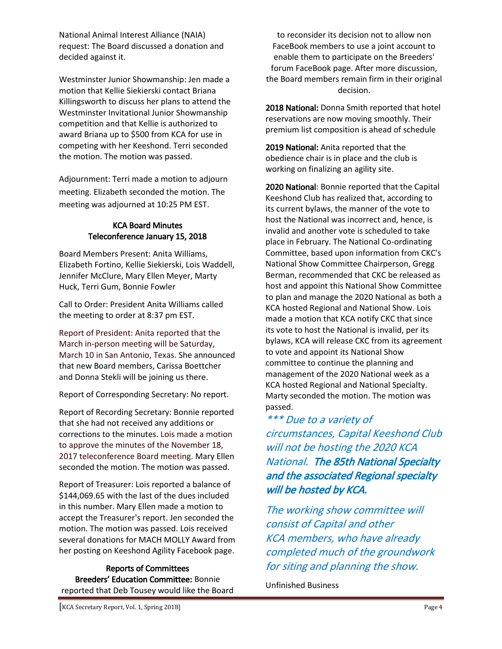National Animal Interest Alliance (NAIA) request: The Board discussed a donation and decided against it.

Westminster Junior Showmanship: Jen made a motion that Kellie Siekierski contact Briana Killingsworth to discuss her plans to attend the Westminster Invitational Junior Showmanship competition and that Kellie is authorized to award Briana up to \$500 from KCA for use in competing with her Keeshond. Terri seconded the motion. The motion was passed.

Adjournment: Terri made a motion to adjourn meeting. Elizabeth seconded the motion. The meeting was adjourned at 10:25 PM EST.

#### KCA Board Minutes Teleconference January 15, 2018

Board Members Present: Anita Williams, Elizabeth Fortino, Kellie Siekierski, Lois Waddell, Jennifer McClure, Mary Ellen Meyer, Marty Huck, Terri Gum, Bonnie Fowler

Call to Order: President Anita Williams called the meeting to order at 8:37 pm EST.

Report of President: Anita reported that the March in-person meeting will be Saturday, March 10 in San Antonio, Texas. She announced that new Board members, Carissa Boettcher and Donna Stekli will be joining us there.

Report of Corresponding Secretary: No report.

Report of Recording Secretary: Bonnie reported that she had not received any additions or corrections to the minutes. Lois made a motion to approve the minutes of the November 18, 2017 teleconference Board meeting. Mary Ellen seconded the motion. The motion was passed.

Report of Treasurer: Lois reported a balance of \$144,069.65 with the last of the dues included in this number. Mary Ellen made a motion to accept the Treasurer's report. Jen seconded the motion. The motion was passed. Lois received several donations for MACH MOLLY Award from her posting on Keeshond Agility Facebook page.

Reports of Committees Breeders' Education Committee: Bonnie reported that Deb Tousey would like the Board

to reconsider its decision not to allow non FaceBook members to use a joint account to enable them to participate on the Breeders' forum FaceBook page. After more discussion, the Board members remain firm in their original decision.

2018 National: Donna Smith reported that hotel reservations are now moving smoothly. Their premium list composition is ahead of schedule

2019 National: Anita reported that the obedience chair is in place and the club is working on finalizing an agility site.

2020 National: Bonnie reported that the Capital Keeshond Club has realized that, according to its current bylaws, the manner of the vote to host the National was incorrect and, hence, is invalid and another vote is scheduled to take place in February. The National Co-ordinating Committee, based upon information from CKC's National Show Committee Chairperson, Gregg Berman, recommended that CKC be released as host and appoint this National Show Committee to plan and manage the 2020 National as both a KCA hosted Regional and National Show. Lois made a motion that KCA notify CKC that since its vote to host the National is invalid, per its bylaws, KCA will release CKC from its agreement to vote and appoint its National Show committee to continue the planning and management of the 2020 National week as a KCA hosted Regional and National Specialty. Marty seconded the motion. The motion was passed.

\*\*\* Due to a variety of circumstances, Capital Keeshond Club will not be hosting the 2020 KCA National. The 85th National Specialty and the associated Regional specialty will be hosted by KCA.

The working show committee will consist of Capital and other KCA members, who have already completed much of the groundwork for siting and planning the show.

Unfinished Business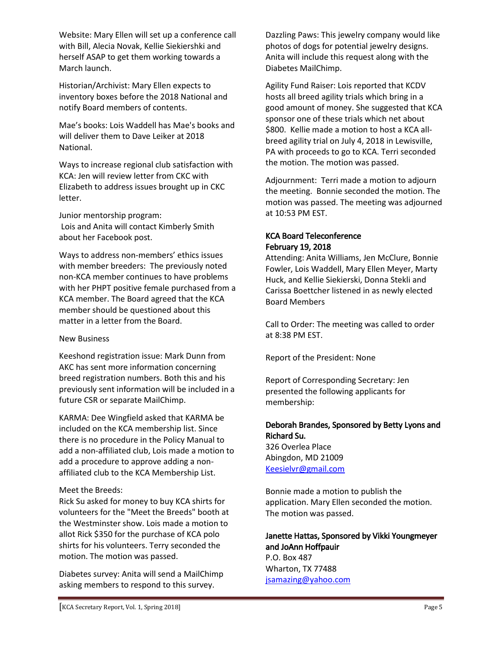Website: Mary Ellen will set up a conference call with Bill, Alecia Novak, Kellie Siekiershki and herself ASAP to get them working towards a March launch.

Historian/Archivist: Mary Ellen expects to inventory boxes before the 2018 National and notify Board members of contents.

Mae's books: Lois Waddell has Mae's books and will deliver them to Dave Leiker at 2018 National.

Ways to increase regional club satisfaction with KCA: Jen will review letter from CKC with Elizabeth to address issues brought up in CKC letter.

Junior mentorship program: Lois and Anita will contact Kimberly Smith about her Facebook post.

Ways to address non-members' ethics issues with member breeders: The previously noted non-KCA member continues to have problems with her PHPT positive female purchased from a KCA member. The Board agreed that the KCA member should be questioned about this matter in a letter from the Board.

#### New Business

Keeshond registration issue: Mark Dunn from AKC has sent more information concerning breed registration numbers. Both this and his previously sent information will be included in a future CSR or separate MailChimp.

KARMA: Dee Wingfield asked that KARMA be included on the KCA membership list. Since there is no procedure in the Policy Manual to add a non-affiliated club, Lois made a motion to add a procedure to approve adding a nonaffiliated club to the KCA Membership List.

#### Meet the Breeds:

Rick Su asked for money to buy KCA shirts for volunteers for the "Meet the Breeds" booth at the Westminster show. Lois made a motion to allot Rick \$350 for the purchase of KCA polo shirts for his volunteers. Terry seconded the motion. The motion was passed.

Diabetes survey: Anita will send a MailChimp asking members to respond to this survey.

Dazzling Paws: This jewelry company would like photos of dogs for potential jewelry designs. Anita will include this request along with the Diabetes MailChimp.

Agility Fund Raiser: Lois reported that KCDV hosts all breed agility trials which bring in a good amount of money. She suggested that KCA sponsor one of these trials which net about \$800. Kellie made a motion to host a KCA allbreed agility trial on July 4, 2018 in Lewisville, PA with proceeds to go to KCA. Terri seconded the motion. The motion was passed.

Adjournment: Terri made a motion to adjourn the meeting. Bonnie seconded the motion. The motion was passed. The meeting was adjourned at 10:53 PM EST.

#### KCA Board Teleconference February 19, 2018

Attending: Anita Williams, Jen McClure, Bonnie Fowler, Lois Waddell, Mary Ellen Meyer, Marty Huck, and Kellie Siekierski, Donna Stekli and Carissa Boettcher listened in as newly elected Board Members

Call to Order: The meeting was called to order at 8:38 PM EST.

Report of the President: None

Report of Corresponding Secretary: Jen presented the following applicants for membership:

#### Deborah Brandes, Sponsored by Betty Lyons and Richard Su.

326 Overlea Place Abingdon, MD 21009 [Keesielvr@gmail.com](mailto:Keesielvr@gmail.com)

Bonnie made a motion to publish the application. Mary Ellen seconded the motion. The motion was passed.

#### Janette Hattas, Sponsored by Vikki Youngmeyer and JoAnn Hoffpauir

P.O. Box 487 Wharton, TX 77488 [jsamazing@yahoo.com](mailto:jsamazing@yahoo.com)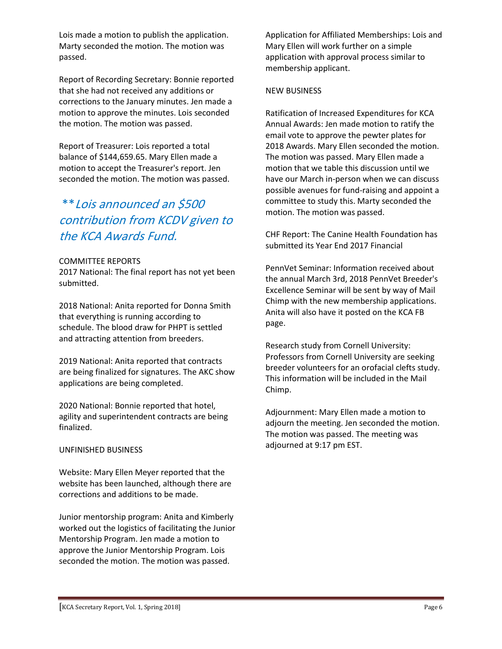Lois made a motion to publish the application. Marty seconded the motion. The motion was passed.

Report of Recording Secretary: Bonnie reported that she had not received any additions or corrections to the January minutes. Jen made a motion to approve the minutes. Lois seconded the motion. The motion was passed.

Report of Treasurer: Lois reported a total balance of \$144,659.65. Mary Ellen made a motion to accept the Treasurer's report. Jen seconded the motion. The motion was passed.

## \*\*Lois announced an \$500 contribution from KCDV given to the KCA Awards Fund.

#### COMMITTEE REPORTS

2017 National: The final report has not yet been submitted.

2018 National: Anita reported for Donna Smith that everything is running according to schedule. The blood draw for PHPT is settled and attracting attention from breeders.

2019 National: Anita reported that contracts are being finalized for signatures. The AKC show applications are being completed.

2020 National: Bonnie reported that hotel, agility and superintendent contracts are being finalized.

#### UNFINISHED BUSINESS

Website: Mary Ellen Meyer reported that the website has been launched, although there are corrections and additions to be made.

Junior mentorship program: Anita and Kimberly worked out the logistics of facilitating the Junior Mentorship Program. Jen made a motion to approve the Junior Mentorship Program. Lois seconded the motion. The motion was passed.

Application for Affiliated Memberships: Lois and Mary Ellen will work further on a simple application with approval process similar to membership applicant.

#### NEW BUSINESS

Ratification of Increased Expenditures for KCA Annual Awards: Jen made motion to ratify the email vote to approve the pewter plates for 2018 Awards. Mary Ellen seconded the motion. The motion was passed. Mary Ellen made a motion that we table this discussion until we have our March in-person when we can discuss possible avenues for fund-raising and appoint a committee to study this. Marty seconded the motion. The motion was passed.

CHF Report: The Canine Health Foundation has submitted its Year End 2017 Financial

PennVet Seminar: Information received about the annual March 3rd, 2018 PennVet Breeder's Excellence Seminar will be sent by way of Mail Chimp with the new membership applications. Anita will also have it posted on the KCA FB page.

Research study from Cornell University: Professors from Cornell University are seeking breeder volunteers for an orofacial clefts study. This information will be included in the Mail Chimp.

Adjournment: Mary Ellen made a motion to adjourn the meeting. Jen seconded the motion. The motion was passed. The meeting was adjourned at 9:17 pm EST.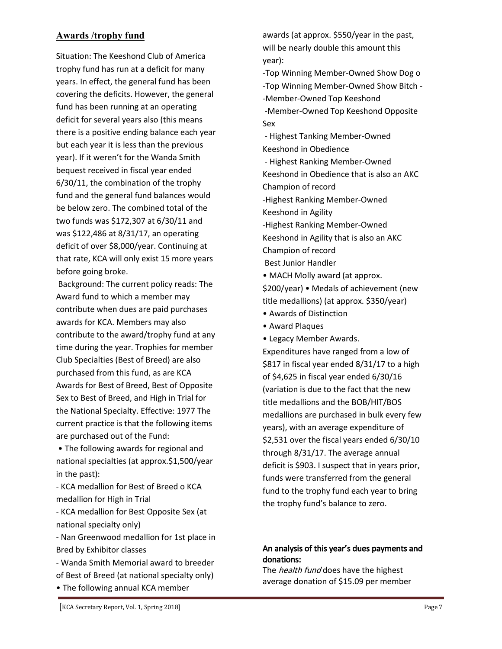#### Awards /trophy fund

Situation: The Keeshond Club of America trophy fund has run at a deficit for many years. In effect, the general fund has been covering the deficits. However, the general fund has been running at an operating deficit for several years also (this means there is a positive ending balance each year but each year it is less than the previous year). If it weren't for the Wanda Smith bequest received in fiscal year ended 6/30/11, the combination of the trophy fund and the general fund balances would be below zero. The combined total of the two funds was \$172,307 at 6/30/11 and was \$122,486 at 8/31/17, an operating deficit of over \$8,000/year. Continuing at that rate, KCA will only exist 15 more years before going broke.

Background: The current policy reads: The Award fund to which a member may contribute when dues are paid purchases awards for KCA. Members may also contribute to the award/trophy fund at any time during the year. Trophies for member Club Specialties (Best of Breed) are also purchased from this fund, as are KCA Awards for Best of Breed, Best of Opposite Sex to Best of Breed, and High in Trial for the National Specialty. Effective: 1977 The current practice is that the following items are purchased out of the Fund:

• The following awards for regional and national specialties (at approx.\$1,500/year in the past):

- KCA medallion for Best of Breed o KCA medallion for High in Trial

- KCA medallion for Best Opposite Sex (at national specialty only)

- Nan Greenwood medallion for 1st place in Bred by Exhibitor classes

- Wanda Smith Memorial award to breeder of Best of Breed (at national specialty only)

• The following annual KCA member

awards (at approx. \$550/year in the past, will be nearly double this amount this year):

-Top Winning Member-Owned Show Dog o -Top Winning Member-Owned Show Bitch - -Member-Owned Top Keeshond -Member-Owned Top Keeshond Opposite Sex

- Highest Tanking Member-Owned Keeshond in Obedience

- Highest Ranking Member-Owned Keeshond in Obedience that is also an AKC

Champion of record

-Highest Ranking Member-Owned

Keeshond in Agility

-Highest Ranking Member-Owned

Keeshond in Agility that is also an AKC Champion of record

Best Junior Handler

• MACH Molly award (at approx.

\$200/year) • Medals of achievement (new title medallions) (at approx. \$350/year)

- Awards of Distinction
- Award Plaques
- Legacy Member Awards.

Expenditures have ranged from a low of \$817 in fiscal year ended 8/31/17 to a high of \$4,625 in fiscal year ended 6/30/16 (variation is due to the fact that the new title medallions and the BOB/HIT/BOS medallions are purchased in bulk every few years), with an average expenditure of \$2,531 over the fiscal years ended 6/30/10 through 8/31/17. The average annual deficit is \$903. I suspect that in years prior, funds were transferred from the general fund to the trophy fund each year to bring the trophy fund's balance to zero.

#### An analysis of this year's dues payments and donations:

The *health fund* does have the highest average donation of \$15.09 per member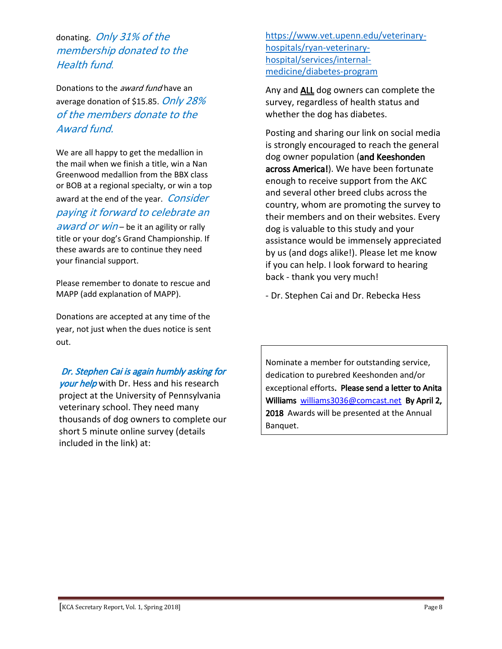donating. Only 31% of the membership donated to the Health fund.

Donations to the *award fund* have an average donation of \$15.85. Only 28% of the members donate to the Award fund.

We are all happy to get the medallion in the mail when we finish a title, win a Nan Greenwood medallion from the BBX class or BOB at a regional specialty, or win a top award at the end of the year. Consider paying it forward to celebrate an award or win – be it an agility or rally title or your dog's Grand Championship. If these awards are to continue they need your financial support.

Please remember to donate to rescue and MAPP (add explanation of MAPP).

Donations are accepted at any time of the year, not just when the dues notice is sent out.

 Dr. Stephen Cai is again humbly asking for your help with Dr. Hess and his research project at the University of Pennsylvania veterinary school. They need many thousands of dog owners to complete our short 5 minute online survey (details included in the link) at:

[https://www.vet.upenn.edu/veterinary](https://www.vet.upenn.edu/veterinary-hospitals/ryan-veterinary-hospital/services/internal-medicine/diabetes-program)[hospitals/ryan-veterinary](https://www.vet.upenn.edu/veterinary-hospitals/ryan-veterinary-hospital/services/internal-medicine/diabetes-program)[hospital/services/internal](https://www.vet.upenn.edu/veterinary-hospitals/ryan-veterinary-hospital/services/internal-medicine/diabetes-program)[medicine/diabetes-program](https://www.vet.upenn.edu/veterinary-hospitals/ryan-veterinary-hospital/services/internal-medicine/diabetes-program)

Any and **ALL** dog owners can complete the survey, regardless of health status and whether the dog has diabetes.

Posting and sharing our link on social media is strongly encouraged to reach the general dog owner population (and Keeshonden across America!). We have been fortunate enough to receive support from the AKC and several other breed clubs across the country, whom are promoting the survey to their members and on their websites. Every dog is valuable to this study and your assistance would be immensely appreciated by us (and dogs alike!). Please let me know if you can help. I look forward to hearing back - thank you very much!

- Dr. Stephen Cai and Dr. Rebecka Hess

Nominate a member for outstanding service, dedication to purebred Keeshonden and/or exceptional efforts. Please send a letter to Anita Williams [williams3036@comcast.net](mailto:williams3036@comcast.net) By April 2, 2018 Awards will be presented at the Annual Banquet.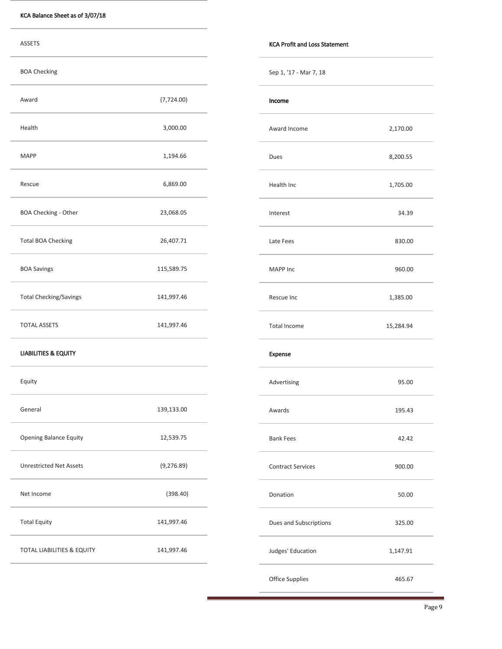| <b>ASSETS</b>                   |             | <b>KCA Profit and Loss Statement</b> |           |
|---------------------------------|-------------|--------------------------------------|-----------|
| <b>BOA Checking</b>             |             | Sep 1, '17 - Mar 7, 18               |           |
| Award                           | (7, 724.00) | Income                               |           |
| Health                          | 3,000.00    | Award Income                         | 2,170.00  |
| <b>MAPP</b>                     | 1,194.66    | Dues                                 | 8,200.55  |
| Rescue                          | 6,869.00    | Health Inc                           | 1,705.00  |
| BOA Checking - Other            | 23,068.05   | Interest                             | 34.39     |
| <b>Total BOA Checking</b>       | 26,407.71   | Late Fees                            | 830.00    |
| <b>BOA Savings</b>              | 115,589.75  | MAPP Inc                             | 960.00    |
| <b>Total Checking/Savings</b>   | 141,997.46  | Rescue Inc                           | 1,385.00  |
| <b>TOTAL ASSETS</b>             | 141,997.46  | Total Income                         | 15,284.94 |
| <b>LIABILITIES &amp; EQUITY</b> |             | Expense                              |           |
| Equity                          |             | Advertising                          | 95.00     |
| General                         | 139,133.00  | Awards                               | 195.43    |
| Opening Balance Equity          | 12,539.75   | <b>Bank Fees</b>                     | 42.42     |
| <b>Unrestricted Net Assets</b>  | (9, 276.89) | <b>Contract Services</b>             | 900.00    |
| Net Income                      | (398.40)    | Donation                             | 50.00     |
| <b>Total Equity</b>             | 141,997.46  | Dues and Subscriptions               | 325.00    |
| TOTAL LIABILITIES & EQUITY      | 141,997.46  | Judges' Education                    | 1,147.91  |
|                                 |             | Office Supplies                      | 465.67    |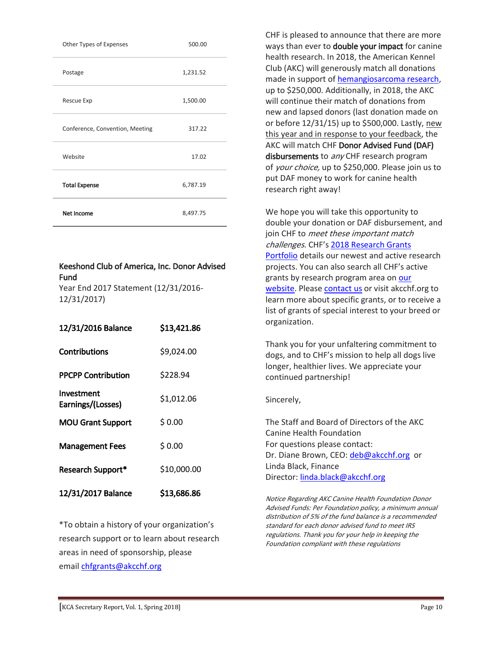| Other Types of Expenses         | 500.00   |
|---------------------------------|----------|
| Postage                         | 1,231.52 |
| Rescue Exp                      | 1,500.00 |
| Conference, Convention, Meeting | 317.22   |
| Website                         | 17.02    |
| <b>Total Expense</b>            | 6,787.19 |
| <b>Net Income</b>               | 8,497.75 |

#### Keeshond Club of America, Inc. Donor Advised Fund

Year End 2017 Statement (12/31/2016- 12/31/2017)

| 12/31/2016 Balance              | \$13,421.86 |
|---------------------------------|-------------|
| Contributions                   | \$9,024.00  |
| <b>PPCPP Contribution</b>       | \$228.94    |
| Investment<br>Earnings/(Losses) | \$1,012.06  |
| <b>MOU Grant Support</b>        | \$0.00      |
| <b>Management Fees</b>          | \$0.00      |
| Research Support*               | \$10,000.00 |
| 12/31/2017 Balance              | \$13,686.86 |

\*To obtain a history of your organization's research support or to learn about research areas in need of sponsorship, please email [chfgrants@akcchf.org](mailto:chfgrants@akcchf.org)

CHF is pleased to announce that there are more ways than ever to **double your impact** for canine health research. In 2018, the American Kennel Club (AKC) will generously match all donations made in support of [hemangiosarcoma research,](http://www.akcchf.org/match) up to \$250,000. Additionally, in 2018, the AKC will continue their match of donations from new and lapsed donors (last donation made on or before 12/31/15) up to \$500,000. Lastly, new this year and in response to your feedback, the AKC will match CHF Donor Advised Fund (DAF) disbursements to any CHF research program of *your choice*, up to \$250,000. Please join us to put DAF money to work for canine health research right away!

We hope you will take this opportunity to double your donation or DAF disbursement, and join CHF to meet these important match challenges. CHF's [2018 Research Grants](http://www.akcchf.org/research/our-research/)  [Portfolio](http://www.akcchf.org/research/our-research/) details our newest and active research projects. You can also search all CHF's active grants by research program area on our [website.](http://www.akcchf.org/research/research-portfolio/) Please [contact us](mailto:chfgrants@akcchf.org) or visit akcchf.org to learn more about specific grants, or to receive a list of grants of special interest to your breed or organization.

Thank you for your unfaltering commitment to dogs, and to CHF's mission to help all dogs live longer, healthier lives. We appreciate your continued partnership!

#### Sincerely,

The Staff and Board of Directors of the AKC Canine Health Foundation For questions please contact: Dr. Diane Brown, CEO: [deb@akcchf.org](mailto:deb@akcchf.org) or Linda Black, Finance Director: [linda.black@akcchf.org](mailto:linda.black@akcchf.org)

Notice Regarding AKC Canine Health Foundation Donor Advised Funds: Per Foundation policy, a minimum annual distribution of 5% of the fund balance is a recommended standard for each donor advised fund to meet IRS regulations. Thank you for your help in keeping the Foundation compliant with these regulations